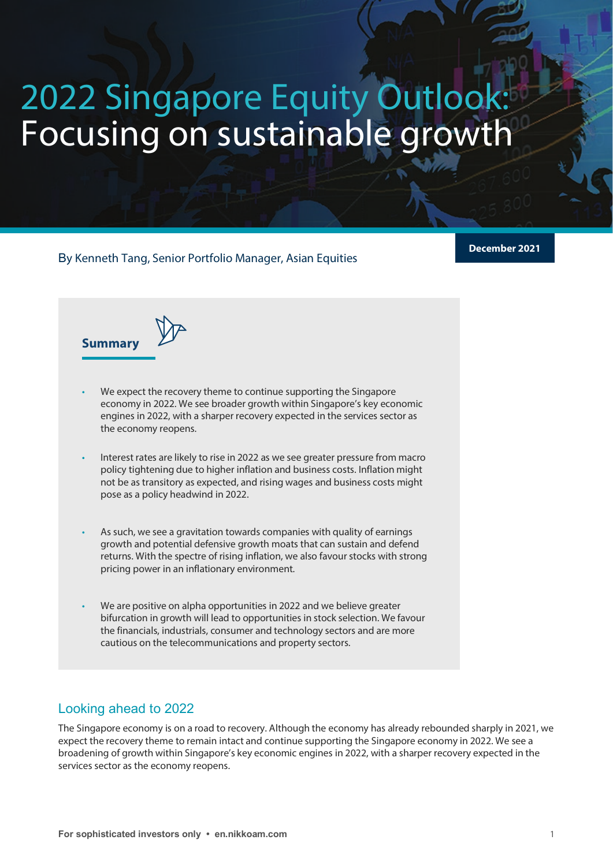# 2022 Singapore Equity Outloo Focusing on sustainable growth

By Kenneth Tang, Senior Portfolio Manager, Asian Equities

**December 2021**

**Summary**



- We expect the recovery theme to continue supporting the Singapore economy in 2022. We see broader growth within Singapore's key economic engines in 2022, with a sharper recovery expected in the services sector as the economy reopens.
- Interest rates are likely to rise in 2022 as we see greater pressure from macro policy tightening due to higher inflation and business costs. Inflation might not be as transitory as expected, and rising wages and business costs might pose as a policy headwind in 2022.
- As such, we see a gravitation towards companies with quality of earnings growth and potential defensive growth moats that can sustain and defend returns. With the spectre of rising inflation, we also favour stocks with strong pricing power in an inflationary environment.
- We are positive on alpha opportunities in 2022 and we believe greater bifurcation in growth will lead to opportunities in stock selection. We favour the financials, industrials, consumer and technology sectors and are more cautious on the telecommunications and property sectors.

# Looking ahead to 2022

The Singapore economy is on a road to recovery. Although the economy has already rebounded sharply in 2021, we expect the recovery theme to remain intact and continue supporting the Singapore economy in 2022. We see a broadening of growth within Singapore's key economic engines in 2022, with a sharper recovery expected in the services sector as the economy reopens.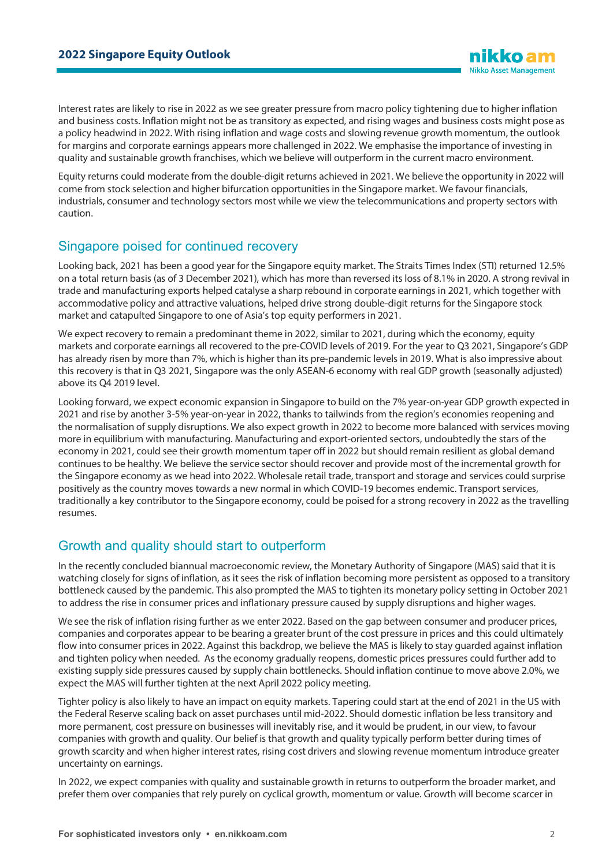Interest rates are likely to rise in 2022 as we see greater pressure from macro policy tightening due to higher inflation and business costs. Inflation might not be as transitory as expected, and rising wages and business costs might pose as a policy headwind in 2022. With rising inflation and wage costs and slowing revenue growth momentum, the outlook for margins and corporate earnings appears more challenged in 2022. We emphasise the importance of investing in quality and sustainable growth franchises, which we believe will outperform in the current macro environment.

Equity returns could moderate from the double-digit returns achieved in 2021. We believe the opportunity in 2022 will come from stock selection and higher bifurcation opportunities in the Singapore market. We favour financials, industrials, consumer and technology sectors most while we view the telecommunications and property sectors with caution.

#### Singapore poised for continued recovery

Looking back, 2021 has been a good year for the Singapore equity market. The Straits Times Index (STI) returned 12.5% on a total return basis (as of 3 December 2021), which has more than reversed its loss of 8.1% in 2020. A strong revival in trade and manufacturing exports helped catalyse a sharp rebound in corporate earnings in 2021, which together with accommodative policy and attractive valuations, helped drive strong double-digit returns for the Singapore stock market and catapulted Singapore to one of Asia's top equity performers in 2021.

We expect recovery to remain a predominant theme in 2022, similar to 2021, during which the economy, equity markets and corporate earnings all recovered to the pre-COVID levels of 2019. For the year to Q3 2021, Singapore's GDP has already risen by more than 7%, which is higher than its pre-pandemic levels in 2019. What is also impressive about this recovery is that in Q3 2021, Singapore was the only ASEAN-6 economy with real GDP growth (seasonally adjusted) above its Q4 2019 level.

Looking forward, we expect economic expansion in Singapore to build on the 7% year-on-year GDP growth expected in 2021 and rise by another 3-5% year-on-year in 2022, thanks to tailwinds from the region's economies reopening and the normalisation of supply disruptions. We also expect growth in 2022 to become more balanced with services moving more in equilibrium with manufacturing. Manufacturing and export-oriented sectors, undoubtedly the stars of the economy in 2021, could see their growth momentum taper off in 2022 but should remain resilient as global demand continues to be healthy. We believe the service sector should recover and provide most of the incremental growth for the Singapore economy as we head into 2022. Wholesale retail trade, transport and storage and services could surprise positively as the country moves towards a new normal in which COVID-19 becomes endemic. Transport services, traditionally a key contributor to the Singapore economy, could be poised for a strong recovery in 2022 as the travelling resumes.

# Growth and quality should start to outperform

In the recently concluded biannual macroeconomic review, the Monetary Authority of Singapore (MAS) said that it is watching closely for signs of inflation, as it sees the risk of inflation becoming more persistent as opposed to a transitory bottleneck caused by the pandemic. This also prompted the MAS to tighten its monetary policy setting in October 2021 to address the rise in consumer prices and inflationary pressure caused by supply disruptions and higher wages.

We see the risk of inflation rising further as we enter 2022. Based on the gap between consumer and producer prices, companies and corporates appear to be bearing a greater brunt of the cost pressure in prices and this could ultimately flow into consumer prices in 2022. Against this backdrop, we believe the MAS is likely to stay guarded against inflation and tighten policy when needed. As the economy gradually reopens, domestic prices pressures could further add to existing supply side pressures caused by supply chain bottlenecks. Should inflation continue to move above 2.0%, we expect the MAS will further tighten at the next April 2022 policy meeting.

Tighter policy is also likely to have an impact on equity markets. Tapering could start at the end of 2021 in the US with the Federal Reserve scaling back on asset purchases until mid-2022. Should domestic inflation be less transitory and more permanent, cost pressure on businesses will inevitably rise, and it would be prudent, in our view, to favour companies with growth and quality. Our belief is that growth and quality typically perform better during times of growth scarcity and when higher interest rates, rising cost drivers and slowing revenue momentum introduce greater uncertainty on earnings.

In 2022, we expect companies with quality and sustainable growth in returns to outperform the broader market, and prefer them over companies that rely purely on cyclical growth, momentum or value. Growth will become scarcer in

**Nikko Asset Management**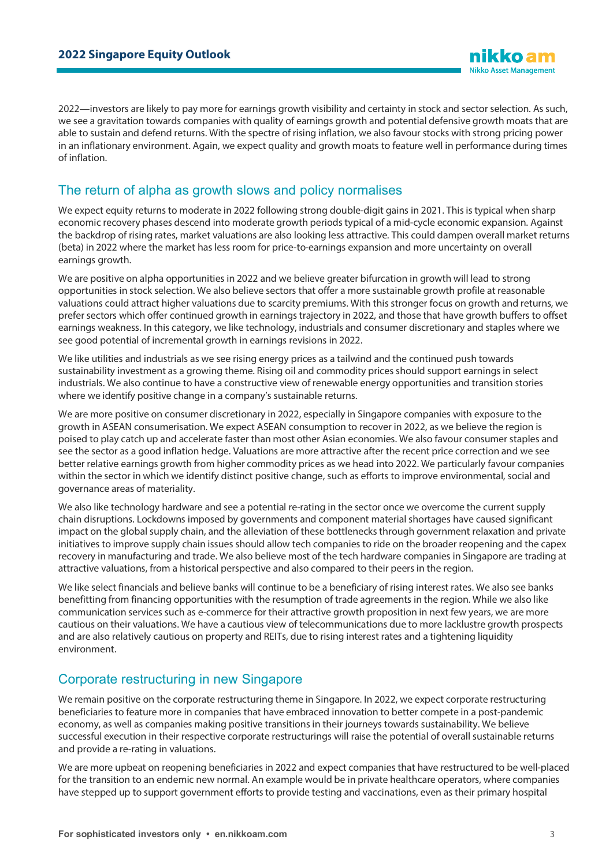2022—investors are likely to pay more for earnings growth visibility and certainty in stock and sector selection. As such, we see a gravitation towards companies with quality of earnings growth and potential defensive growth moats that are able to sustain and defend returns. With the spectre of rising inflation, we also favour stocks with strong pricing power in an inflationary environment. Again, we expect quality and growth moats to feature well in performance during times of inflation.

#### The return of alpha as growth slows and policy normalises

We expect equity returns to moderate in 2022 following strong double-digit gains in 2021. This is typical when sharp economic recovery phases descend into moderate growth periods typical of a mid-cycle economic expansion. Against the backdrop of rising rates, market valuations are also looking less attractive. This could dampen overall market returns (beta) in 2022 where the market has less room for price-to-earnings expansion and more uncertainty on overall earnings growth.

We are positive on alpha opportunities in 2022 and we believe greater bifurcation in growth will lead to strong opportunities in stock selection. We also believe sectors that offer a more sustainable growth profile at reasonable valuations could attract higher valuations due to scarcity premiums. With this stronger focus on growth and returns, we prefer sectors which offer continued growth in earnings trajectory in 2022, and those that have growth buffers to offset earnings weakness. In this category, we like technology, industrials and consumer discretionary and staples where we see good potential of incremental growth in earnings revisions in 2022.

We like utilities and industrials as we see rising energy prices as a tailwind and the continued push towards sustainability investment as a growing theme. Rising oil and commodity prices should support earnings in select industrials. We also continue to have a constructive view of renewable energy opportunities and transition stories where we identify positive change in a company's sustainable returns.

We are more positive on consumer discretionary in 2022, especially in Singapore companies with exposure to the growth in ASEAN consumerisation. We expect ASEAN consumption to recover in 2022, as we believe the region is poised to play catch up and accelerate faster than most other Asian economies. We also favour consumer staples and see the sector as a good inflation hedge. Valuations are more attractive after the recent price correction and we see better relative earnings growth from higher commodity prices as we head into 2022. We particularly favour companies within the sector in which we identify distinct positive change, such as efforts to improve environmental, social and governance areas of materiality.

We also like technology hardware and see a potential re-rating in the sector once we overcome the current supply chain disruptions. Lockdowns imposed by governments and component material shortages have caused significant impact on the global supply chain, and the alleviation of these bottlenecks through government relaxation and private initiatives to improve supply chain issues should allow tech companies to ride on the broader reopening and the capex recovery in manufacturing and trade. We also believe most of the tech hardware companies in Singapore are trading at attractive valuations, from a historical perspective and also compared to their peers in the region.

We like select financials and believe banks will continue to be a beneficiary of rising interest rates. We also see banks benefitting from financing opportunities with the resumption of trade agreements in the region. While we also like communication services such as e-commerce for their attractive growth proposition in next few years, we are more cautious on their valuations. We have a cautious view of telecommunications due to more lacklustre growth prospects and are also relatively cautious on property and REITs, due to rising interest rates and a tightening liquidity environment.

# Corporate restructuring in new Singapore

We remain positive on the corporate restructuring theme in Singapore. In 2022, we expect corporate restructuring beneficiaries to feature more in companies that have embraced innovation to better compete in a post-pandemic economy, as well as companies making positive transitions in their journeys towards sustainability. We believe successful execution in their respective corporate restructurings will raise the potential of overall sustainable returns and provide a re-rating in valuations.

We are more upbeat on reopening beneficiaries in 2022 and expect companies that have restructured to be well-placed for the transition to an endemic new normal. An example would be in private healthcare operators, where companies have stepped up to support government efforts to provide testing and vaccinations, even as their primary hospital

**Nikko Asset Management**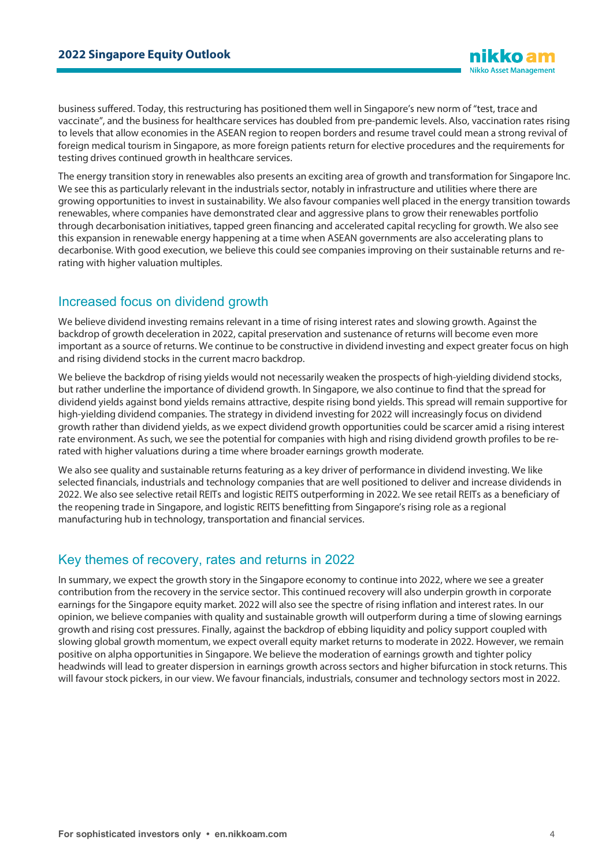business suffered. Today, this restructuring has positioned them well in Singapore's new norm of "test, trace and vaccinate", and the business for healthcare services has doubled from pre-pandemic levels. Also, vaccination rates rising to levels that allow economies in the ASEAN region to reopen borders and resume travel could mean a strong revival of foreign medical tourism in Singapore, as more foreign patients return for elective procedures and the requirements for testing drives continued growth in healthcare services.

The energy transition story in renewables also presents an exciting area of growth and transformation for Singapore Inc. We see this as particularly relevant in the industrials sector, notably in infrastructure and utilities where there are growing opportunities to invest in sustainability. We also favour companies well placed in the energy transition towards renewables, where companies have demonstrated clear and aggressive plans to grow their renewables portfolio through decarbonisation initiatives, tapped green financing and accelerated capital recycling for growth. We also see this expansion in renewable energy happening at a time when ASEAN governments are also accelerating plans to decarbonise. With good execution, we believe this could see companies improving on their sustainable returns and rerating with higher valuation multiples.

# Increased focus on dividend growth

We believe dividend investing remains relevant in a time of rising interest rates and slowing growth. Against the backdrop of growth deceleration in 2022, capital preservation and sustenance of returns will become even more important as a source of returns. We continue to be constructive in dividend investing and expect greater focus on high and rising dividend stocks in the current macro backdrop.

We believe the backdrop of rising yields would not necessarily weaken the prospects of high-yielding dividend stocks, but rather underline the importance of dividend growth. In Singapore, we also continue to find that the spread for dividend yields against bond yields remains attractive, despite rising bond yields. This spread will remain supportive for high-yielding dividend companies. The strategy in dividend investing for 2022 will increasingly focus on dividend growth rather than dividend yields, as we expect dividend growth opportunities could be scarcer amid a rising interest rate environment. As such, we see the potential for companies with high and rising dividend growth profiles to be rerated with higher valuations during a time where broader earnings growth moderate.

We also see quality and sustainable returns featuring as a key driver of performance in dividend investing. We like selected financials, industrials and technology companies that are well positioned to deliver and increase dividends in 2022. We also see selective retail REITs and logistic REITS outperforming in 2022. We see retail REITs as a beneficiary of the reopening trade in Singapore, and logistic REITS benefitting from Singapore's rising role as a regional manufacturing hub in technology, transportation and financial services.

# Key themes of recovery, rates and returns in 2022

In summary, we expect the growth story in the Singapore economy to continue into 2022, where we see a greater contribution from the recovery in the service sector. This continued recovery will also underpin growth in corporate earnings for the Singapore equity market. 2022 will also see the spectre of rising inflation and interest rates. In our opinion, we believe companies with quality and sustainable growth will outperform during a time of slowing earnings growth and rising cost pressures. Finally, against the backdrop of ebbing liquidity and policy support coupled with slowing global growth momentum, we expect overall equity market returns to moderate in 2022. However, we remain positive on alpha opportunities in Singapore. We believe the moderation of earnings growth and tighter policy headwinds will lead to greater dispersion in earnings growth across sectors and higher bifurcation in stock returns. This will favour stock pickers, in our view. We favour financials, industrials, consumer and technology sectors most in 2022.

**Nikko Asset Management**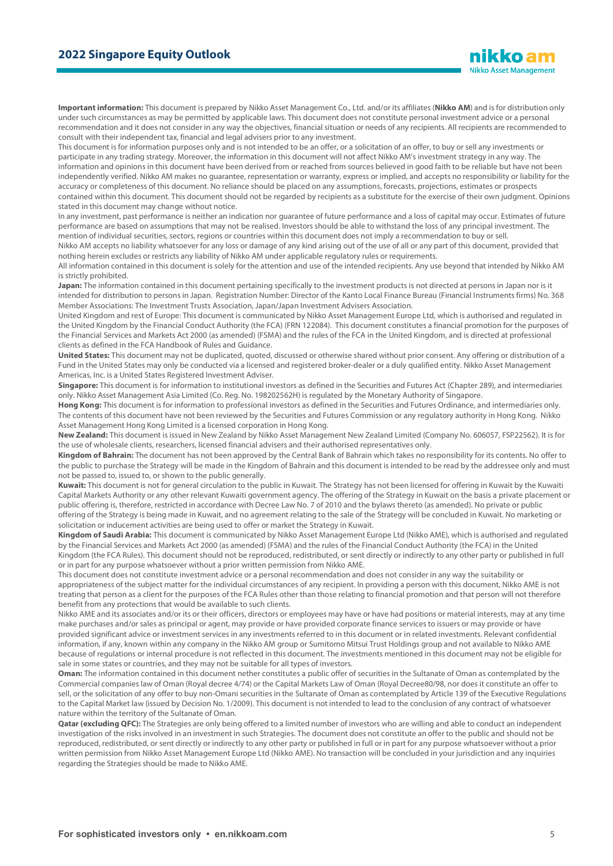**Important information:** This document is prepared by Nikko Asset Management Co., Ltd. and/or its affiliates (**Nikko AM**) and is for distribution only under such circumstances as may be permitted by applicable laws. This document does not constitute personal investment advice or a personal recommendation and it does not consider in any way the objectives, financial situation or needs of any recipients. All recipients are recommended to consult with their independent tax, financial and legal advisers prior to any investment.

This document is for information purposes only and is not intended to be an offer, or a solicitation of an offer, to buy or sell any investments or participate in any trading strategy. Moreover, the information in this document will not affect Nikko AM's investment strategy in any way. The information and opinions in this document have been derived from or reached from sources believed in good faith to be reliable but have not been independently verified. Nikko AM makes no guarantee, representation or warranty, express or implied, and accepts no responsibility or liability for the accuracy or completeness of this document. No reliance should be placed on any assumptions, forecasts, projections, estimates or prospects contained within this document. This document should not be regarded by recipients as a substitute for the exercise of their own judgment. Opinions stated in this document may change without notice.

In any investment, past performance is neither an indication nor guarantee of future performance and a loss of capital may occur. Estimates of future performance are based on assumptions that may not be realised. Investors should be able to withstand the loss of any principal investment. The mention of individual securities, sectors, regions or countries within this document does not imply a recommendation to buy or sell.

Nikko AM accepts no liability whatsoever for any loss or damage of any kind arising out of the use of all or any part of this document, provided that nothing herein excludes or restricts any liability of Nikko AM under applicable regulatory rules or requirements.

All information contained in this document is solely for the attention and use of the intended recipients. Any use beyond that intended by Nikko AM is strictly prohibited.

Japan: The information contained in this document pertaining specifically to the investment products is not directed at persons in Japan nor is it intended for distribution to persons in Japan. Registration Number: Director of the Kanto Local Finance Bureau (Financial Instruments firms) No. 368 Member Associations: The Investment Trusts Association, Japan/Japan Investment Advisers Association.

United Kingdom and rest of Europe: This document is communicated by Nikko Asset Management Europe Ltd, which is authorised and regulated in the United Kingdom by the Financial Conduct Authority (the FCA) (FRN 122084). This document constitutes a financial promotion for the purposes of the Financial Services and Markets Act 2000 (as amended) (FSMA) and the rules of the FCA in the United Kingdom, and is directed at professional clients as defined in the FCA Handbook of Rules and Guidance.

**United States:** This document may not be duplicated, quoted, discussed or otherwise shared without prior consent. Any offering or distribution of a Fund in the United States may only be conducted via a licensed and registered broker-dealer or a duly qualified entity. Nikko Asset Management Americas, Inc. is a United States Registered Investment Adviser.

**Singapore:** This document is for information to institutional investors as defined in the Securities and Futures Act (Chapter 289), and intermediaries only. Nikko Asset Management Asia Limited (Co. Reg. No. 198202562H) is regulated by the Monetary Authority of Singapore.

**Hong Kong:** This document is for information to professional investors as defined in the Securities and Futures Ordinance, and intermediaries only. The contents of this document have not been reviewed by the Securities and Futures Commission or any regulatory authority in Hong Kong. Nikko Asset Management Hong Kong Limited is a licensed corporation in Hong Kong.

**New Zealand:** This document is issued in New Zealand by Nikko Asset Management New Zealand Limited (Company No. 606057, FSP22562). It is for the use of wholesale clients, researchers, licensed financial advisers and their authorised representatives only.

**Kingdom of Bahrain:** The document has not been approved by the Central Bank of Bahrain which takes no responsibility for its contents. No offer to the public to purchase the Strategy will be made in the Kingdom of Bahrain and this document is intended to be read by the addressee only and must not be passed to, issued to, or shown to the public generally.

**Kuwait:** This document is not for general circulation to the public in Kuwait. The Strategy has not been licensed for offering in Kuwait by the Kuwaiti Capital Markets Authority or any other relevant Kuwaiti government agency. The offering of the Strategy in Kuwait on the basis a private placement or public offering is, therefore, restricted in accordance with Decree Law No. 7 of 2010 and the bylaws thereto (as amended). No private or public offering of the Strategy is being made in Kuwait, and no agreement relating to the sale of the Strategy will be concluded in Kuwait. No marketing or solicitation or inducement activities are being used to offer or market the Strategy in Kuwait.

**Kingdom of Saudi Arabia:** This document is communicated by Nikko Asset Management Europe Ltd (Nikko AME), which is authorised and regulated by the Financial Services and Markets Act 2000 (as amended) (FSMA) and the rules of the Financial Conduct Authority (the FCA) in the United Kingdom (the FCA Rules). This document should not be reproduced, redistributed, or sent directly or indirectly to any other party or published in full or in part for any purpose whatsoever without a prior written permission from Nikko AME.

This document does not constitute investment advice or a personal recommendation and does not consider in any way the suitability or appropriateness of the subject matter for the individual circumstances of any recipient. In providing a person with this document, Nikko AME is not treating that person as a client for the purposes of the FCA Rules other than those relating to financial promotion and that person will not therefore benefit from any protections that would be available to such clients.

Nikko AME and its associates and/or its or their officers, directors or employees may have or have had positions or material interests, may at any time make purchases and/or sales as principal or agent, may provide or have provided corporate finance services to issuers or may provide or have provided significant advice or investment services in any investments referred to in this document or in related investments. Relevant confidential information, if any, known within any company in the Nikko AM group or Sumitomo Mitsui Trust Holdings group and not available to Nikko AME because of regulations or internal procedure is not reflected in this document. The investments mentioned in this document may not be eligible for sale in some states or countries, and they may not be suitable for all types of investors.

**Oman:** The information contained in this document nether constitutes a public offer of securities in the Sultanate of Oman as contemplated by the Commercial companies law of Oman (Royal decree 4/74) or the Capital Markets Law of Oman (Royal Decree80/98, nor does it constitute an offer to sell, or the solicitation of any offer to buy non-Omani securities in the Sultanate of Oman as contemplated by Article 139 of the Executive Regulations to the Capital Market law (issued by Decision No. 1/2009). This document is not intended to lead to the conclusion of any contract of whatsoever nature within the territory of the Sultanate of Oman.

Qatar (excluding QFC): The Strategies are only being offered to a limited number of investors who are willing and able to conduct an independent investigation of the risks involved in an investment in such Strategies. The document does not constitute an offer to the public and should not be reproduced, redistributed, or sent directly or indirectly to any other party or published in full or in part for any purpose whatsoever without a prior written permission from Nikko Asset Management Europe Ltd (Nikko AME). No transaction will be concluded in your jurisdiction and any inquiries regarding the Strategies should be made to Nikko AME.

nikko am **Nikko Asset Management**